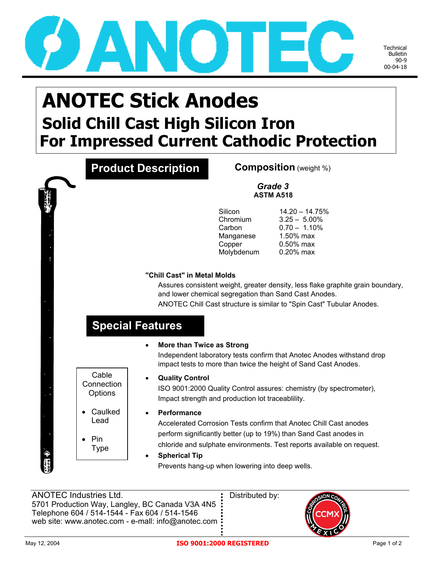

Technical Bulletin 90-9 00-04-18

## **ANOTEC Stick Anodes Solid Chill Cast High Silicon Iron For Impressed Current Cathodic Protection**

|                                | <b>Product Description</b>             |                                                                    | <b>Composition</b> (weight %)                                                                                                                                                                                     |  |  |  |  |
|--------------------------------|----------------------------------------|--------------------------------------------------------------------|-------------------------------------------------------------------------------------------------------------------------------------------------------------------------------------------------------------------|--|--|--|--|
|                                | Grade 3<br><b>ASTM A518</b>            |                                                                    |                                                                                                                                                                                                                   |  |  |  |  |
|                                |                                        | Silicon<br>Chromium<br>Carbon<br>Manganese<br>Copper<br>Molybdenum | $14.20 - 14.75%$<br>$3.25 - 5.00\%$<br>$0.70 - 1.10\%$<br>1.50% max<br>0.50% max<br>0.20% max                                                                                                                     |  |  |  |  |
|                                | "Chill Cast" in Metal Molds            |                                                                    |                                                                                                                                                                                                                   |  |  |  |  |
|                                |                                        |                                                                    | Assures consistent weight, greater density, less flake graphite grain boundary,<br>and lower chemical segregation than Sand Cast Anodes.<br>ANOTEC Chill Cast structure is similar to "Spin Cast" Tubular Anodes. |  |  |  |  |
|                                | <b>Special Features</b>                |                                                                    |                                                                                                                                                                                                                   |  |  |  |  |
|                                | More than Twice as Strong<br>$\bullet$ |                                                                    | Independent laboratory tests confirm that Anotec Anodes withstand drop<br>impact tests to more than twice the height of Sand Cast Anodes.                                                                         |  |  |  |  |
| Cable<br>Connection<br>Options | <b>Quality Control</b><br>$\bullet$    | Impact strength and production lot traceablility.                  | ISO 9001:2000 Quality Control assures: chemistry (by spectrometer),                                                                                                                                               |  |  |  |  |
| Caulked<br>Lead                | Performance                            |                                                                    | Accelerated Corrosion Tests confirm that Anotec Chill Cast anodes                                                                                                                                                 |  |  |  |  |
| Pin<br>Type                    | <b>Spherical Tip</b>                   |                                                                    | perform significantly better (up to 19%) than Sand Cast anodes in<br>chloride and sulphate environments. Test reports available on request.                                                                       |  |  |  |  |

Prevents hang-up when lowering into deep wells.

ANOTEC Industries Ltd. **Busic Contract Contract Contract Contract Contract Contract Contract Contract Contract Contract Contract Contract Contract Contract Contract Contract Contract Contract Contract Contract Contract Con** 5701 Production Way, Langley, BC Canada V3A 4N5 Telephone 604 / 514-1544 - Fax 604 / 514-1546 web site: www.anotec.com - e-mall: info@anotec.com